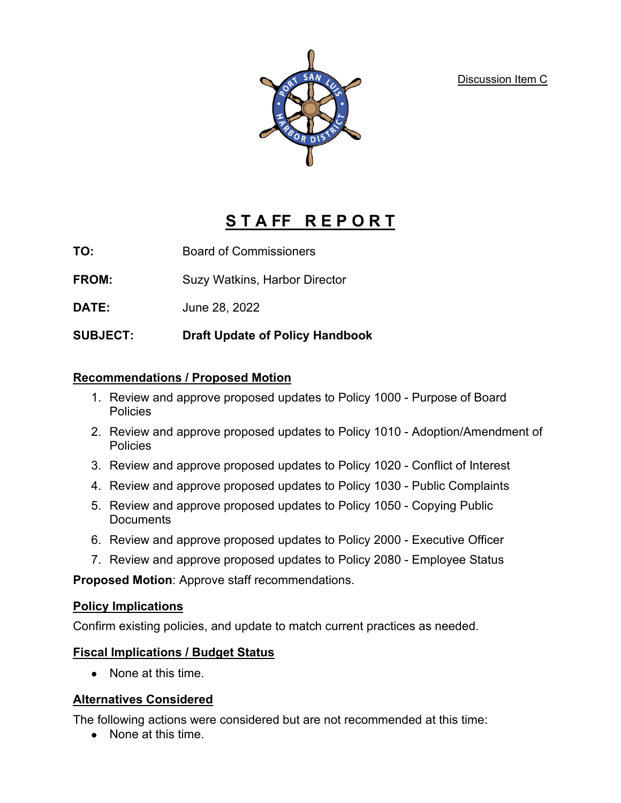Discussion Item C



# **S T A FF R E P O R T**

**TO:** Board of Commissioners

**FROM:** Suzy Watkins, Harbor Director

**DATE:** June 28, 2022

**SUBJECT: Draft Update of Policy Handbook** 

#### **Recommendations / Proposed Motion**

- 1. Review and approve proposed updates to Policy 1000 Purpose of Board **Policies**
- 2. Review and approve proposed updates to Policy 1010 Adoption/Amendment of **Policies**
- 3. Review and approve proposed updates to Policy 1020 Conflict of Interest
- 4. Review and approve proposed updates to Policy 1030 Public Complaints
- 5. Review and approve proposed updates to Policy 1050 Copying Public **Documents**
- 6. Review and approve proposed updates to Policy 2000 Executive Officer
- 7. Review and approve proposed updates to Policy 2080 Employee Status

**Proposed Motion**: Approve staff recommendations.

## **Policy Implications**

Confirm existing policies, and update to match current practices as needed.

#### **Fiscal Implications / Budget Status**

• None at this time.

## **Alternatives Considered**

The following actions were considered but are not recommended at this time:

• None at this time.